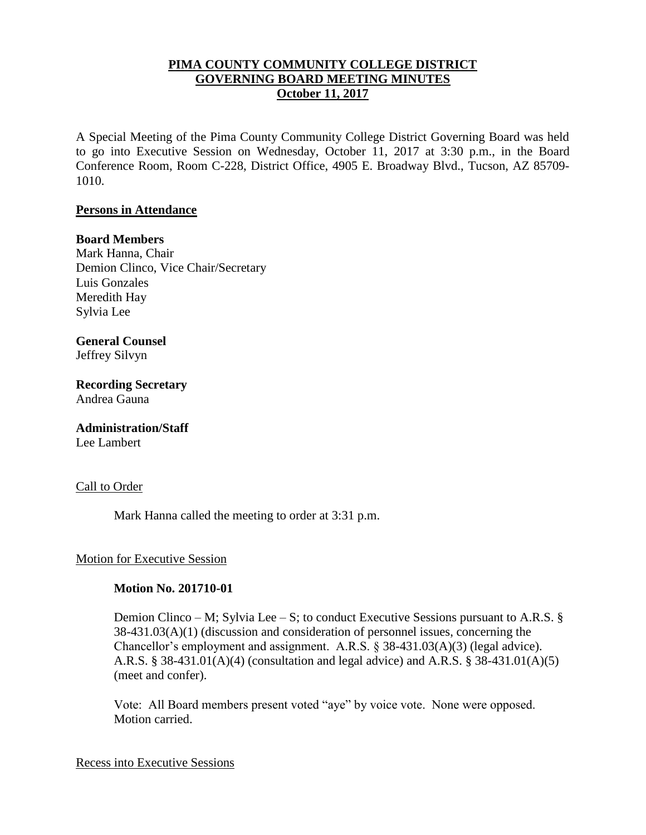## **PIMA COUNTY COMMUNITY COLLEGE DISTRICT GOVERNING BOARD MEETING MINUTES October 11, 2017**

A Special Meeting of the Pima County Community College District Governing Board was held to go into Executive Session on Wednesday, October 11, 2017 at 3:30 p.m., in the Board Conference Room, Room C-228, District Office, 4905 E. Broadway Blvd., Tucson, AZ 85709- 1010.

### **Persons in Attendance**

### **Board Members**

Mark Hanna, Chair Demion Clinco, Vice Chair/Secretary Luis Gonzales Meredith Hay Sylvia Lee

# **General Counsel**

Jeffrey Silvyn

**Recording Secretary** Andrea Gauna

## **Administration/Staff**

Lee Lambert

### Call to Order

Mark Hanna called the meeting to order at 3:31 p.m.

### Motion for Executive Session

### **Motion No. 201710-01**

Demion Clinco – M; Sylvia Lee – S; to conduct Executive Sessions pursuant to A.R.S. § 38-431.03(A)(1) (discussion and consideration of personnel issues, concerning the Chancellor's employment and assignment. A.R.S. § 38-431.03(A)(3) (legal advice). A.R.S. § 38-431.01(A)(4) (consultation and legal advice) and A.R.S. § 38-431.01(A)(5) (meet and confer).

Vote: All Board members present voted "aye" by voice vote. None were opposed. Motion carried.

#### Recess into Executive Sessions